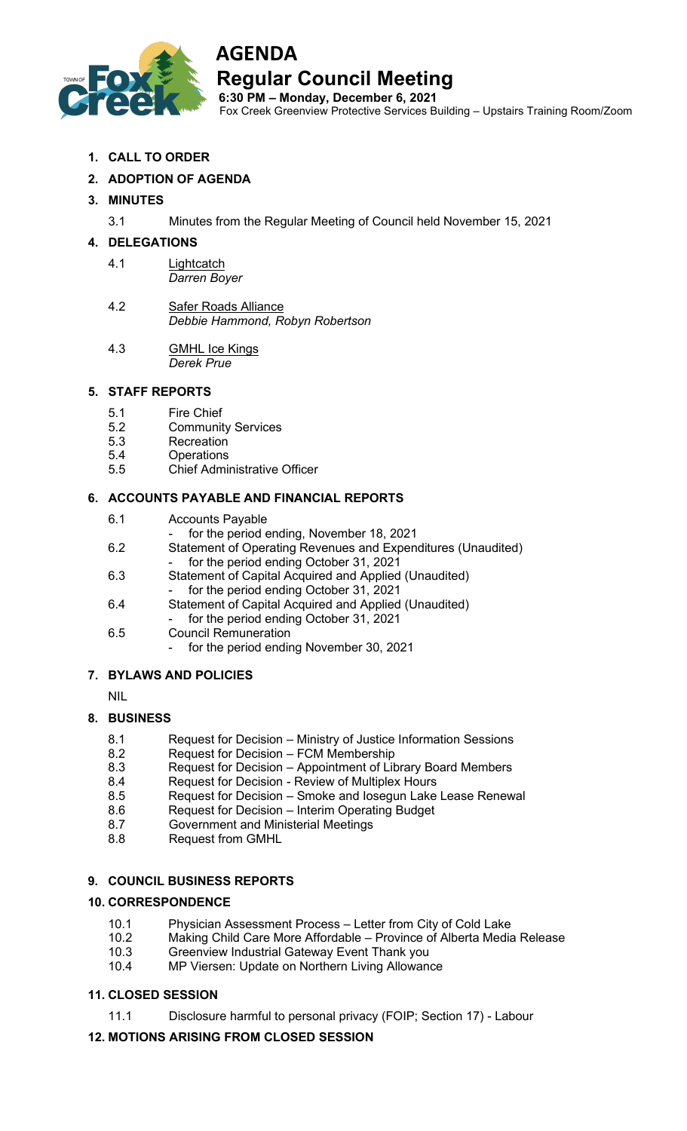

# **AGENDA**

**Regular Council Meeting** 

**6:30 PM – Monday, December 6, 2021** Fox Creek Greenview Protective Services Building – Upstairs Training Room/Zoom

**1. CALL TO ORDER** 

# **2. ADOPTION OF AGENDA**

## **3. MINUTES**

3.1 Minutes from the Regular Meeting of Council held November 15, 2021

### **4. DELEGATIONS**

- 4.1 Lightcatch *Darren Boyer*
- 4.2 Safer Roads Alliance *Debbie Hammond, Robyn Robertson*
- 4.3 GMHL Ice Kings *Derek Prue*

#### **5. STAFF REPORTS**

- 5.1 Fire Chief
- 5.2 Community Services
- 5.3 Recreation
- **Operations**
- 5.5 Chief Administrative Officer

#### **6. ACCOUNTS PAYABLE AND FINANCIAL REPORTS**

- 6.1 Accounts Payable
	- for the period ending, November 18, 2021
- 6.2 Statement of Operating Revenues and Expenditures (Unaudited) for the period ending October 31, 2021
- 6.3 Statement of Capital Acquired and Applied (Unaudited)
	- for the period ending October 31, 2021
- 6.4 Statement of Capital Acquired and Applied (Unaudited) for the period ending October 31, 2021
	-
- 6.5 Council Remuneration
	- for the period ending November 30, 2021

### **7. BYLAWS AND POLICIES**

NIL

### **8. BUSINESS**

- 8.1 Request for Decision Ministry of Justice Information Sessions
- 8.2 Request for Decision FCM Membership
- 8.3 Request for Decision Appointment of Library Board Members
- 8.4 Request for Decision Review of Multiplex Hours
- 8.5 Request for Decision Smoke and Iosegun Lake Lease Renewal
- 8.6 Request for Decision Interim Operating Budget
- 8.7 Government and Ministerial Meetings
- 8.8 Request from GMHL

### **9. COUNCIL BUSINESS REPORTS**

### **10. CORRESPONDENCE**

- 10.1 Physician Assessment Process Letter from City of Cold Lake
- 10.2 Making Child Care More Affordable Province of Alberta Media Release
- 10.3 Greenview Industrial Gateway Event Thank you
- 10.4 MP Viersen: Update on Northern Living Allowance

### **11. CLOSED SESSION**

11.1 Disclosure harmful to personal privacy (FOIP; Section 17) - Labour

### **12. MOTIONS ARISING FROM CLOSED SESSION**